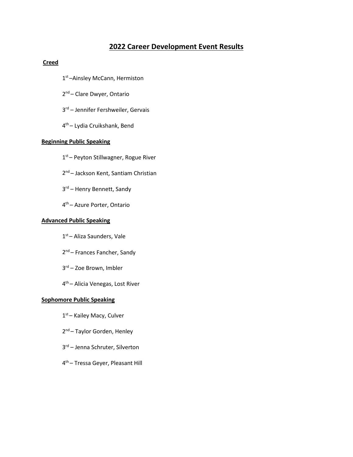# **2022 Career Development Event Results**

## **Creed**

- 1<sup>st</sup> –Ainsley McCann, Hermiston
- 2<sup>nd</sup> Clare Dwyer, Ontario
- 3rd Jennifer Fershweiler, Gervais
- 4th Lydia Cruikshank, Bend

### **Beginning Public Speaking**

- 1<sup>st</sup> Peyton Stillwagner, Rogue River
- 2<sup>nd</sup> Jackson Kent, Santiam Christian
- 3<sup>rd</sup> Henry Bennett, Sandy
- 4th Azure Porter, Ontario

### **Advanced Public Speaking**

- 1<sup>st</sup> Aliza Saunders, Vale
- 2<sup>nd</sup> Frances Fancher, Sandy
- 3rd Zoe Brown, Imbler
- 4th Alicia Venegas, Lost River

### **Sophomore Public Speaking**

- 1<sup>st</sup> Kailey Macy, Culver
- 2<sup>nd</sup> Taylor Gorden, Henley
- 3rd Jenna Schruter, Silverton
- 4th Tressa Geyer, Pleasant Hill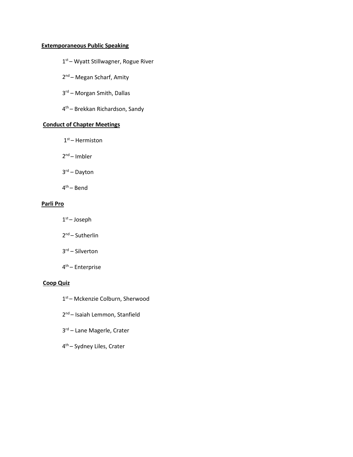## **Extemporaneous Public Speaking**

- 1<sup>st</sup> Wyatt Stillwagner, Rogue River
- 2<sup>nd</sup> Megan Scharf, Amity
- 3rd Morgan Smith, Dallas
- 4th Brekkan Richardson, Sandy

# **Conduct of Chapter Meetings**

- $1<sup>st</sup>$  Hermiston
- 2nd Imbler
- 3rd Dayton
- 4th Bend

## **Parli Pro**

- $1<sup>st</sup>$  Joseph
- 2nd Sutherlin
- 3rd Silverton
- 4th Enterprise

## **Coop Quiz**

- 1<sup>st</sup> Mckenzie Colburn, Sherwood
- 2<sup>nd</sup> Isaiah Lemmon, Stanfield
- 3rd Lane Magerle, Crater
- 4th Sydney Liles, Crater